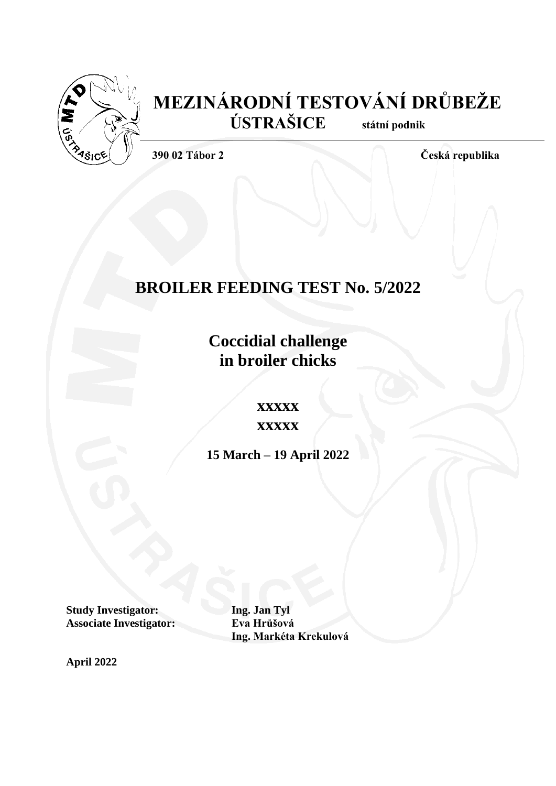

# **MEZINÁRODNÍ TESTOVÁNÍ DRŮBEŽE ÚSTRAŠICE státní podnik**

**390 02 Tábor 2 Česká republika**

# **BROILER FEEDING TEST No. 5/2022**

**Coccidial challenge in broiler chicks**

**xxxxx**

**xxxxx**

**15 March – 19 April 2022**

**Study Investigator: Ing. Jan Tyl<br>
<b>Associate Investigator:** Eva Hrůšová **Associate Investigator:** 

**Ing. Markéta Krekulová**

**April 2022**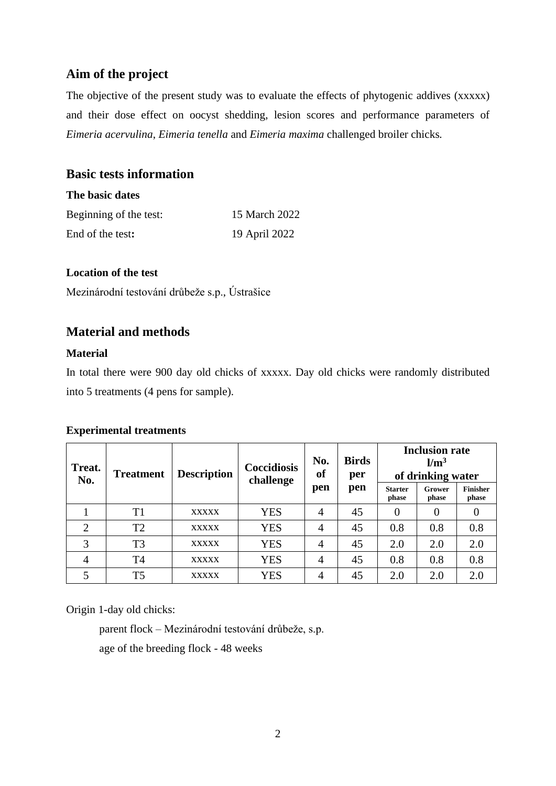## **Aim of the project**

The objective of the present study was to evaluate the effects of phytogenic addives (xxxxx) and their dose effect on oocyst shedding, lesion scores and performance parameters of *Eimeria acervulina*, *Eimeria tenella* and *Eimeria maxima* challenged broiler chicks*.*

### **Basic tests information**

### **The basic dates**

| Beginning of the test: | 15 March 2022 |
|------------------------|---------------|
| End of the test:       | 19 April 2022 |

### **Location of the test**

Mezinárodní testování drůbeže s.p., Ústrašice

### **Material and methods**

### **Material**

In total there were 900 day old chicks of xxxxx. Day old chicks were randomly distributed into 5 treatments (4 pens for sample).

### **Experimental treatments**

| Treat.         | <b>Description</b><br><b>Treatment</b><br>No. |              | Coccidiosis<br>challenge | No.<br>of | <b>Birds</b><br>per | <b>Inclusion rate</b><br>$\rm \, km^3$<br>of drinking water |                  |                          |  |  |  |  |  |
|----------------|-----------------------------------------------|--------------|--------------------------|-----------|---------------------|-------------------------------------------------------------|------------------|--------------------------|--|--|--|--|--|
|                |                                               |              |                          | pen       | pen                 | <b>Starter</b><br>phase                                     | Grower<br>phase  | <b>Finisher</b><br>phase |  |  |  |  |  |
|                | T <sub>1</sub>                                | <b>XXXXX</b> | <b>YES</b>               | 4         | 45                  | $\theta$                                                    | $\boldsymbol{0}$ |                          |  |  |  |  |  |
| $\overline{2}$ | T <sub>2</sub>                                | <b>XXXXX</b> | <b>YES</b>               | 4         | 45                  | 0.8                                                         | 0.8              | 0.8                      |  |  |  |  |  |
| 3              | T <sub>3</sub>                                | <b>XXXXX</b> | <b>YES</b>               | 4         | 45                  | 2.0                                                         | 2.0              | 2.0                      |  |  |  |  |  |
| 4              | T4                                            | <b>XXXXX</b> | <b>YES</b>               | 4         | 45                  | 0.8                                                         | 0.8              | 0.8                      |  |  |  |  |  |
|                | T5                                            | <b>XXXXX</b> | <b>YES</b>               | 4         | 45                  | 2.0                                                         | 2.0              | 2.0                      |  |  |  |  |  |

Origin 1-day old chicks:

parent flock – Mezinárodní testování drůbeže, s.p. age of the breeding flock - 48 weeks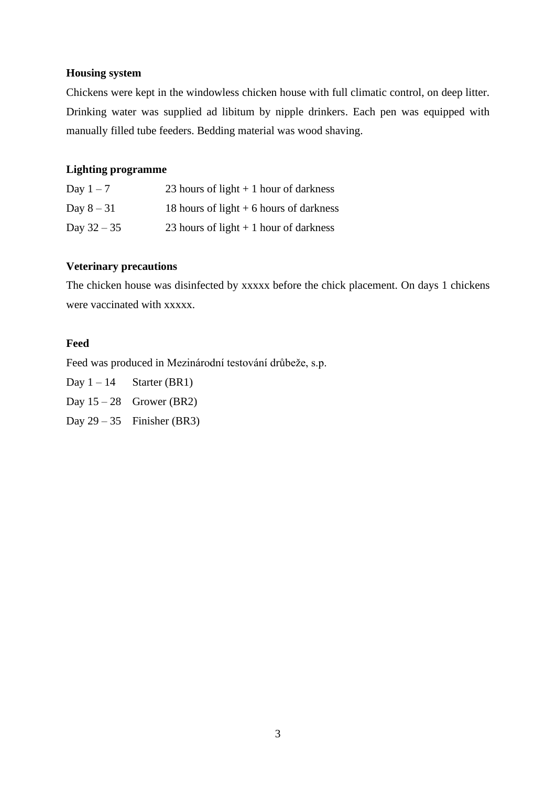### **Housing system**

Chickens were kept in the windowless chicken house with full climatic control, on deep litter. Drinking water was supplied ad libitum by nipple drinkers. Each pen was equipped with manually filled tube feeders. Bedding material was wood shaving.

### **Lighting programme**

| Day $1-7$     | 23 hours of light $+1$ hour of darkness  |
|---------------|------------------------------------------|
| Day $8-31$    | 18 hours of light $+6$ hours of darkness |
| Day $32 - 35$ | 23 hours of light $+1$ hour of darkness  |

### **Veterinary precautions**

The chicken house was disinfected by xxxxx before the chick placement. On days 1 chickens were vaccinated with xxxxx.

### **Feed**

Feed was produced in Mezinárodní testování drůbeže, s.p.

Day  $1 - 14$  Starter (BR1) Day  $15 - 28$  Grower (BR2) Day  $29 - 35$  Finisher (BR3)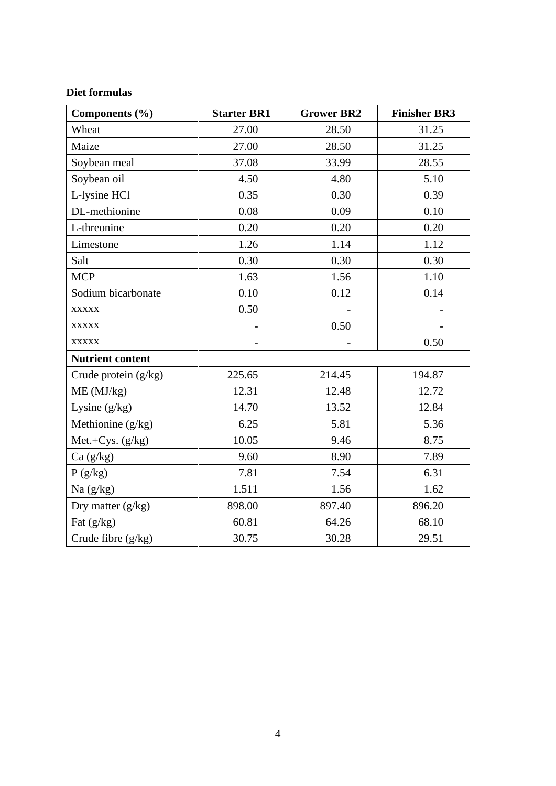### **Diet formulas**

| Components (%)          | <b>Starter BR1</b> | <b>Grower BR2</b> | <b>Finisher BR3</b> |
|-------------------------|--------------------|-------------------|---------------------|
| Wheat                   | 27.00              | 28.50             | 31.25               |
| Maize                   | 27.00              | 28.50             | 31.25               |
| Soybean meal            | 37.08              | 33.99             | 28.55               |
| Soybean oil             | 4.50               | 4.80              | 5.10                |
| L-lysine HCl            | 0.35               | 0.30              | 0.39                |
| DL-methionine           | 0.08               | 0.09              | 0.10                |
| L-threonine             | 0.20               | 0.20              | 0.20                |
| Limestone               | 1.26               | 1.14              | 1.12                |
| Salt                    | 0.30               | 0.30              | 0.30                |
| <b>MCP</b>              | 1.63               | 1.56              | 1.10                |
| Sodium bicarbonate      | 0.10               | 0.12              | 0.14                |
| <b>XXXXX</b>            | 0.50               |                   |                     |
| <b>XXXXX</b>            |                    | 0.50              |                     |
| <b>XXXXX</b>            |                    |                   | 0.50                |
| <b>Nutrient content</b> |                    |                   |                     |
| Crude protein (g/kg)    | 225.65             | 214.45            | 194.87              |
| ME (MJ/kg)              | 12.31              | 12.48             | 12.72               |
| Lysine $(g/kg)$         | 14.70              | 13.52             | 12.84               |
| Methionine (g/kg)       | 6.25               | 5.81              | 5.36                |
| Met.+Cys. (g/kg)        | 10.05              | 9.46              | 8.75                |
| Ca(g/kg)                | 9.60               | 8.90              | 7.89                |
| $P\left(g/kg\right)$    | 7.81               | 7.54              | 6.31                |
| Na $(g/kg)$             | 1.511              | 1.56              | 1.62                |
| Dry matter (g/kg)       | 898.00             | 897.40            | 896.20              |
| Fat (g/kg)              | 60.81              | 64.26             | 68.10               |
| Crude fibre (g/kg)      | 30.75              | 30.28             | 29.51               |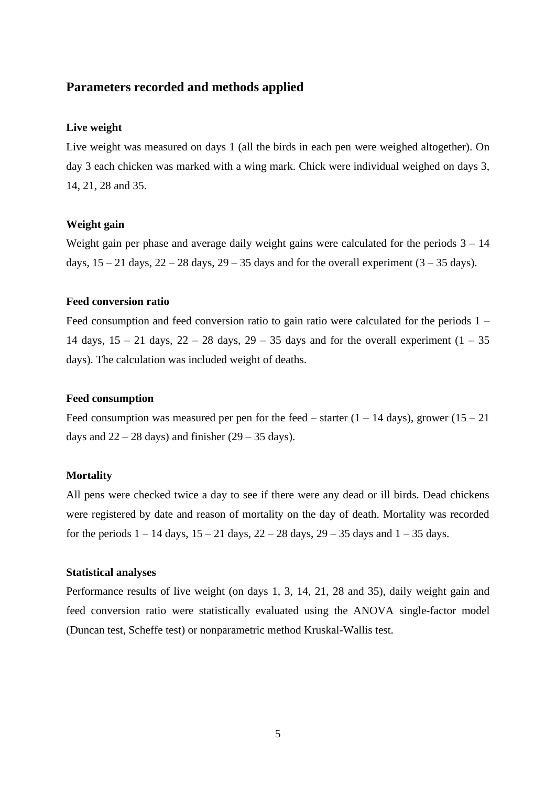### **Parameters recorded and methods applied**

### **Live weight**

Live weight was measured on days 1 (all the birds in each pen were weighed altogether). On day 3 each chicken was marked with a wing mark. Chick were individual weighed on days 3, 14, 21, 28 and 35.

### **Weight gain**

Weight gain per phase and average daily weight gains were calculated for the periods  $3 - 14$ days,  $15 - 21$  days,  $22 - 28$  days,  $29 - 35$  days and for the overall experiment  $(3 - 35$  days).

### **Feed conversion ratio**

Feed consumption and feed conversion ratio to gain ratio were calculated for the periods 1 – 14 days,  $15 - 21$  days,  $22 - 28$  days,  $29 - 35$  days and for the overall experiment  $(1 - 35)$ days). The calculation was included weight of deaths.

### **Feed consumption**

Feed consumption was measured per pen for the feed – starter  $(1 - 14 \text{ days})$ , grower  $(15 - 21 \text{ days})$ days and  $22 - 28$  days) and finisher  $(29 - 35$  days).

### **Mortality**

All pens were checked twice a day to see if there were any dead or ill birds. Dead chickens were registered by date and reason of mortality on the day of death. Mortality was recorded for the periods  $1 - 14$  days,  $15 - 21$  days,  $22 - 28$  days,  $29 - 35$  days and  $1 - 35$  days.

### **Statistical analyses**

Performance results of live weight (on days 1, 3, 14, 21, 28 and 35), daily weight gain and feed conversion ratio were statistically evaluated using the ANOVA single-factor model (Duncan test, Scheffe test) or nonparametric method Kruskal-Wallis test.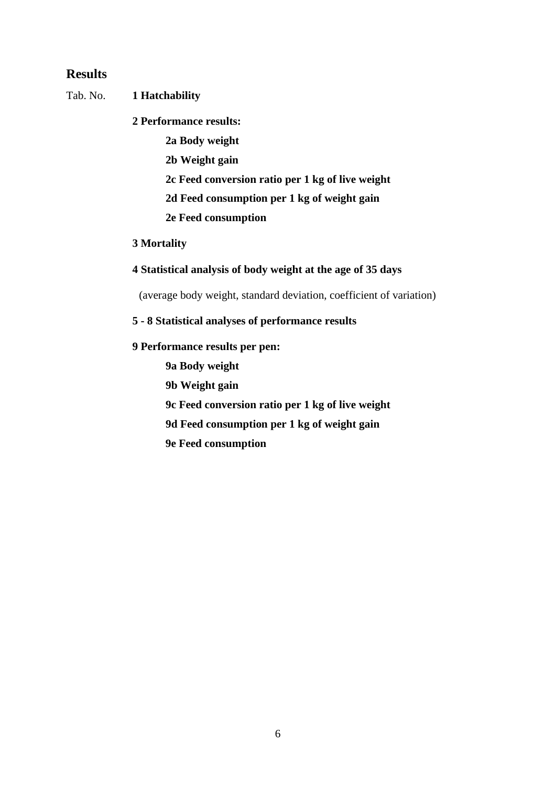### **Results**

### Tab. No. **1 Hatchability**

**2 Performance results:**

**2a Body weight 2b Weight gain 2c Feed conversion ratio per 1 kg of live weight 2d Feed consumption per 1 kg of weight gain** 

**2e Feed consumption**

### **3 Mortality**

**4 Statistical analysis of body weight at the age of 35 days**

(average body weight, standard deviation, coefficient of variation)

### **5 - 8 Statistical analyses of performance results**

### **9 Performance results per pen:**

**9a Body weight**

**9b Weight gain**

**9c Feed conversion ratio per 1 kg of live weight**

**9d Feed consumption per 1 kg of weight gain**

**9e Feed consumption**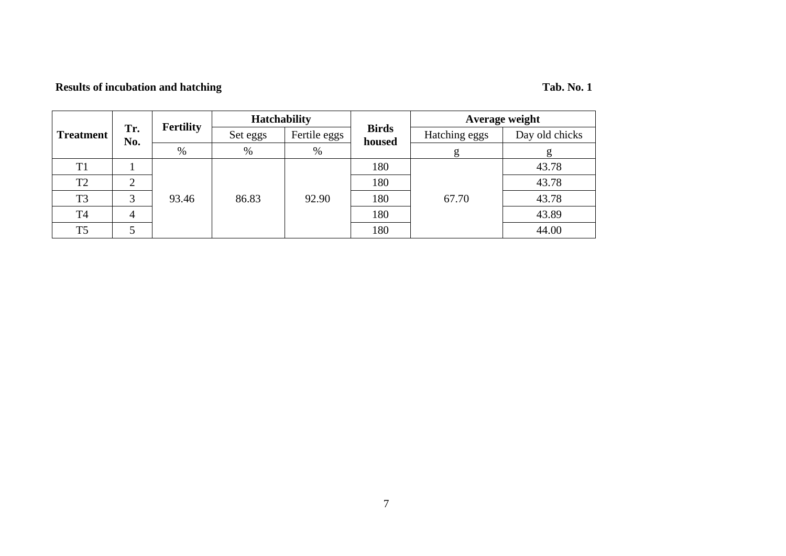## **Results of incubation and hatching Tab. No. 1**

| <b>Treatment</b> |            | <b>Fertility</b> | <b>Hatchability</b>      |       |                        | Average weight |                |  |  |  |  |
|------------------|------------|------------------|--------------------------|-------|------------------------|----------------|----------------|--|--|--|--|
|                  | Tr.<br>No. |                  | Fertile eggs<br>Set eggs |       | <b>Birds</b><br>housed | Hatching eggs  | Day old chicks |  |  |  |  |
|                  |            | %                | $\%$                     | $\%$  |                        | g              | g              |  |  |  |  |
| T <sub>1</sub>   |            |                  |                          |       | 180                    |                | 43.78          |  |  |  |  |
| T <sub>2</sub>   |            |                  |                          |       | 180                    |                | 43.78          |  |  |  |  |
| T <sub>3</sub>   | 3          | 93.46            | 86.83                    | 92.90 | 180                    | 67.70          | 43.78          |  |  |  |  |
| <b>T4</b>        |            |                  |                          |       | 180                    |                | 43.89          |  |  |  |  |
| T <sub>5</sub>   |            |                  |                          |       | 180                    |                | 44.00          |  |  |  |  |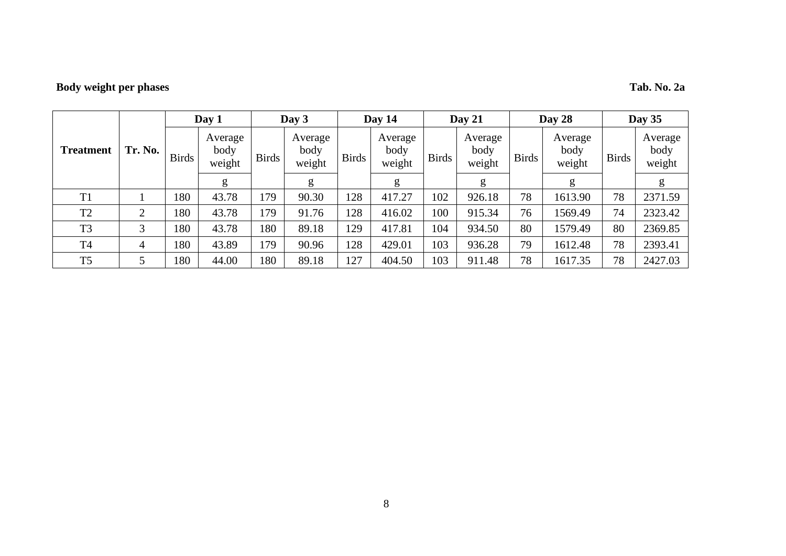## **Body weight per phases Tab. No. 2a**

|                  |                |              | Day 1                     |              | Day 3                     |              | Day 14                    |              | Day 21                    |              | Day $28$                  | Day $35$     |                           |  |
|------------------|----------------|--------------|---------------------------|--------------|---------------------------|--------------|---------------------------|--------------|---------------------------|--------------|---------------------------|--------------|---------------------------|--|
| <b>Treatment</b> | Tr. No.        | <b>Birds</b> | Average<br>body<br>weight | <b>Birds</b> | Average<br>body<br>weight | <b>Birds</b> | Average<br>body<br>weight | <b>Birds</b> | Average<br>body<br>weight | <b>Birds</b> | Average<br>body<br>weight | <b>Birds</b> | Average<br>body<br>weight |  |
|                  |                |              | g                         |              | g                         |              | g                         |              | g                         |              | g                         |              | g                         |  |
| T <sub>1</sub>   |                | 180          | 43.78                     | 179          | 90.30                     | 128          | 417.27                    | 102          | 926.18                    | 78           | 1613.90                   | 78           | 2371.59                   |  |
| T <sub>2</sub>   | $\overline{2}$ | 180          | 43.78                     | 179          | 91.76                     | 128          | 416.02                    | 100          | 915.34                    | 76           | 1569.49                   | 74           | 2323.42                   |  |
| T <sub>3</sub>   | 3              | 180          | 43.78                     | 180          | 89.18                     | 129          | 417.81                    | 104          | 934.50                    | 80           | 1579.49                   | 80           | 2369.85                   |  |
| T <sub>4</sub>   | 4              | 180          | 43.89                     | 179          | 90.96                     | 128          | 429.01                    | 103          | 936.28                    | 79           | 1612.48                   | 78           | 2393.41                   |  |
| T <sub>5</sub>   | 5              | 180          | 44.00                     | 180          | 89.18                     | 127          | 404.50                    | 103          | 911.48                    | 78           | 1617.35                   | 78           | 2427.03                   |  |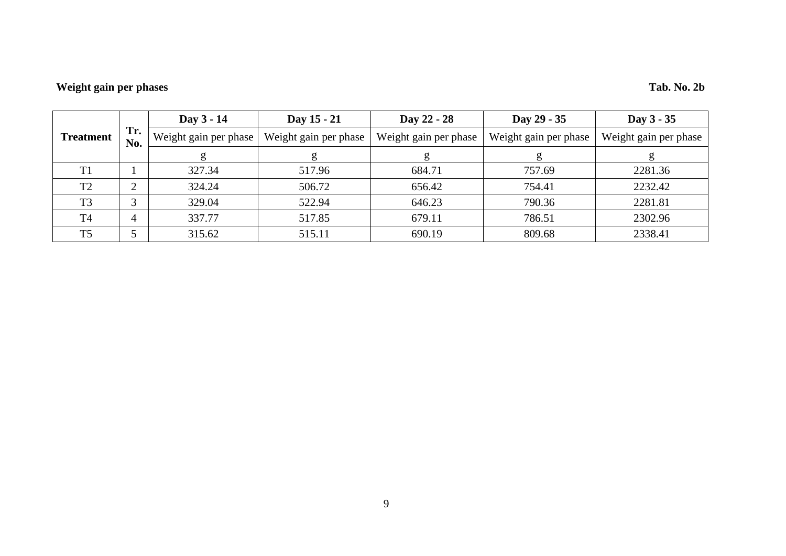## **Weight gain per phases Tab. No. 2b**

|                  |            | Day 3 - 14            | Day 15 - 21           | Day 22 - 28           | Day 29 - 35           | Day 3 - 35            |  |  |  |  |
|------------------|------------|-----------------------|-----------------------|-----------------------|-----------------------|-----------------------|--|--|--|--|
| <b>Treatment</b> | Tr.<br>No. | Weight gain per phase | Weight gain per phase | Weight gain per phase | Weight gain per phase | Weight gain per phase |  |  |  |  |
|                  |            |                       | g                     |                       |                       |                       |  |  |  |  |
| T1               |            | 327.34                | 517.96                | 684.71                | 757.69                | 2281.36               |  |  |  |  |
| T <sub>2</sub>   | ◠          | 324.24                | 506.72                | 656.42                | 754.41                | 2232.42               |  |  |  |  |
| T <sub>3</sub>   | ⌒          | 329.04                | 522.94                | 646.23                | 790.36                | 2281.81               |  |  |  |  |
| T <sub>4</sub>   |            | 337.77                | 517.85                | 679.11                | 786.51                | 2302.96               |  |  |  |  |
| T <sub>5</sub>   |            | 315.62                | 515.11                | 690.19                | 809.68                | 2338.41               |  |  |  |  |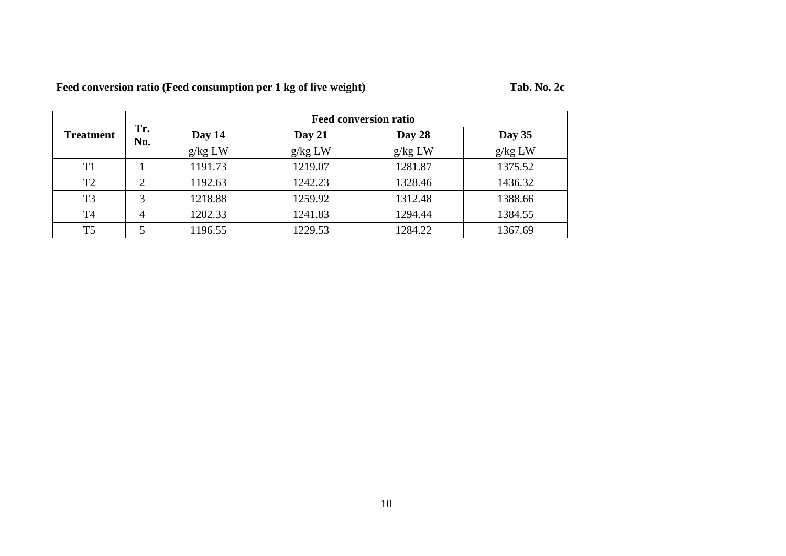| Feed conversion ratio (Feed consumption per 1 kg of live weight) | Tab. No. 2c |
|------------------------------------------------------------------|-------------|
|                                                                  |             |

|                  |                | <b>Feed conversion ratio</b> |         |         |         |  |  |  |  |  |  |  |
|------------------|----------------|------------------------------|---------|---------|---------|--|--|--|--|--|--|--|
| <b>Treatment</b> | Tr.<br>No.     | Day 14                       | Day 28  | Day 35  |         |  |  |  |  |  |  |  |
|                  |                | g/kg LW                      | g/kg LW | g/kg LW | g/kg LW |  |  |  |  |  |  |  |
| T1               |                | 1191.73                      | 1219.07 | 1281.87 | 1375.52 |  |  |  |  |  |  |  |
| T <sub>2</sub>   | ◠              | 1192.63                      | 1242.23 | 1328.46 | 1436.32 |  |  |  |  |  |  |  |
| T <sub>3</sub>   | 3              | 1218.88                      | 1259.92 | 1312.48 | 1388.66 |  |  |  |  |  |  |  |
| T <sub>4</sub>   | $\overline{4}$ | 1202.33                      | 1241.83 | 1294.44 | 1384.55 |  |  |  |  |  |  |  |
| T <sub>5</sub>   |                | 1196.55                      | 1229.53 | 1284.22 | 1367.69 |  |  |  |  |  |  |  |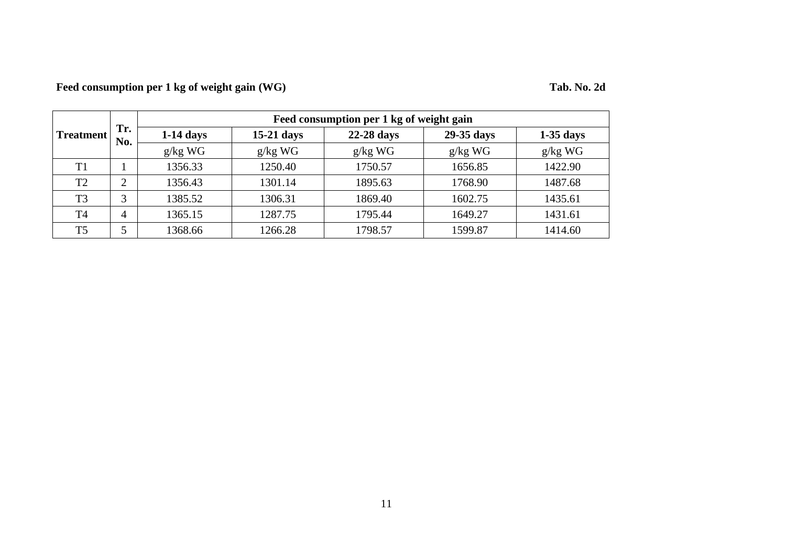## **Feed consumption per 1 kg of weight gain (WG) Tab. No. 2d**

|                |                | Feed consumption per 1 kg of weight gain |              |              |            |             |  |  |  |  |  |  |
|----------------|----------------|------------------------------------------|--------------|--------------|------------|-------------|--|--|--|--|--|--|
| Treatment      | Tr.<br>No.     | $1-14$ days                              | $15-21$ days | $22-28$ days | 29-35 days | $1-35$ days |  |  |  |  |  |  |
|                |                | $g/kg$ WG                                | $g/kg$ WG    | $g/kg$ WG    | $g/kg$ WG  | $g/kg$ WG   |  |  |  |  |  |  |
| T <sub>1</sub> |                | 1356.33                                  | 1250.40      | 1750.57      | 1656.85    | 1422.90     |  |  |  |  |  |  |
| T <sub>2</sub> |                | 1356.43                                  | 1301.14      | 1895.63      | 1768.90    | 1487.68     |  |  |  |  |  |  |
| T <sub>3</sub> | 3              | 1385.52                                  | 1306.31      | 1869.40      | 1602.75    | 1435.61     |  |  |  |  |  |  |
| T <sub>4</sub> | $\overline{4}$ | 1365.15                                  | 1287.75      | 1795.44      | 1649.27    | 1431.61     |  |  |  |  |  |  |
| T <sub>5</sub> |                | 1368.66                                  | 1266.28      | 1798.57      | 1599.87    | 1414.60     |  |  |  |  |  |  |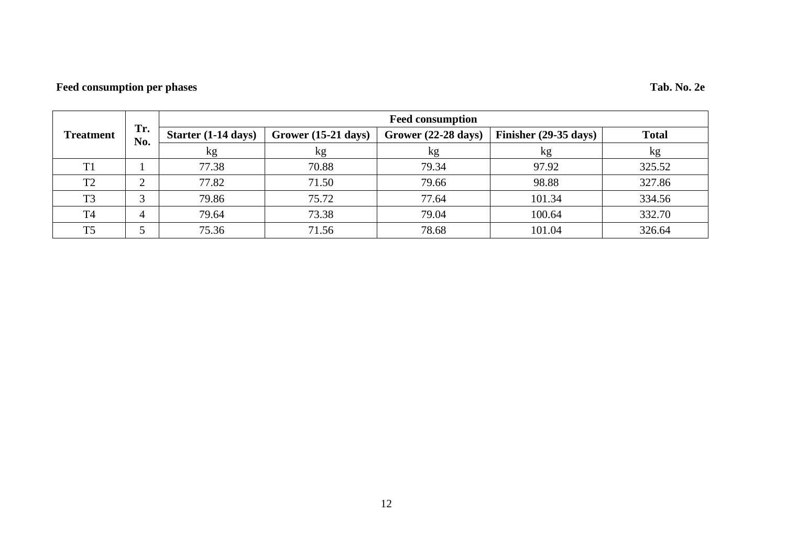## **Feed consumption per phases Tab. No. 2e**

|                  |            | <b>Feed consumption</b> |                               |                               |                                 |              |  |  |  |  |  |  |  |
|------------------|------------|-------------------------|-------------------------------|-------------------------------|---------------------------------|--------------|--|--|--|--|--|--|--|
| <b>Treatment</b> | Tr.<br>No. | Starter (1-14 days)     | Grower $(15-21 \text{ days})$ | Grower $(22-28 \text{ days})$ | Finisher $(29-35 \text{ days})$ | <b>Total</b> |  |  |  |  |  |  |  |
|                  |            | kg                      | kg                            | kg                            | кg                              | kg           |  |  |  |  |  |  |  |
| T1               |            | 77.38                   | 70.88                         | 79.34                         | 97.92                           | 325.52       |  |  |  |  |  |  |  |
| T <sub>2</sub>   |            | 77.82                   | 71.50                         | 79.66                         | 98.88                           | 327.86       |  |  |  |  |  |  |  |
| T <sub>3</sub>   | ⌒          | 79.86                   | 75.72                         | 77.64                         | 101.34                          | 334.56       |  |  |  |  |  |  |  |
| T <sub>4</sub>   | 4          | 79.64                   | 73.38                         | 79.04                         | 100.64                          | 332.70       |  |  |  |  |  |  |  |
| T <sub>5</sub>   |            | 75.36                   | 71.56                         | 78.68                         | 101.04                          | 326.64       |  |  |  |  |  |  |  |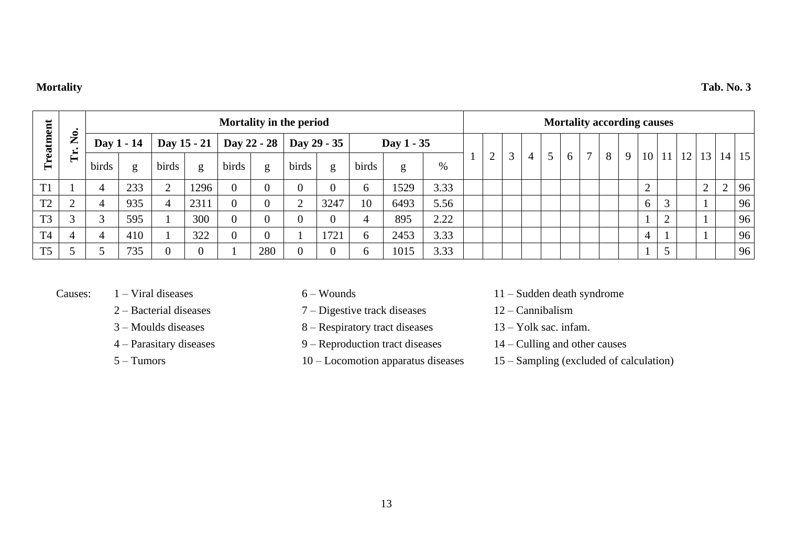### **Mortality Tab. No. 3**

|                |                    | Mortality in the period |            |           |             |       |                |                           |      |               | <b>Mortality according causes</b> |      |  |   |   |   |  |    |              |   |             |           |        |    |           |           |                 |
|----------------|--------------------|-------------------------|------------|-----------|-------------|-------|----------------|---------------------------|------|---------------|-----------------------------------|------|--|---|---|---|--|----|--------------|---|-------------|-----------|--------|----|-----------|-----------|-----------------|
| eatment        | $\mathbf{\hat{z}}$ |                         | Day 1 - 14 |           | Day 15 - 21 |       |                | Day 22 - 28   Day 29 - 35 |      |               | Day 1 - 35                        |      |  |   |   |   |  |    |              |   |             |           |        |    |           |           |                 |
| Ě              | Ě                  | birds                   | g          | birds     | g           | birds | g              | birds                     | g    | birds         | g                                 | %    |  | ◠ | 3 | 4 |  | -6 | $\mathbf{r}$ | 8 | $\mathbf Q$ | 10        | 11     | 12 | 13        | 14        | 15 <sup>1</sup> |
| TT1            |                    |                         | 233        | $\bigcap$ | 1296        |       | $\theta$       |                           |      | 6             | 1529                              | 3.33 |  |   |   |   |  |    |              |   |             | $\bigcap$ |        |    | $\bigcap$ | $\bigcap$ | 96              |
| T <sub>2</sub> | $\bigcap$          |                         | 935        | 4         | 2311        |       | $\overline{0}$ | ◠                         | 3247 | 10            | 6493                              | 5.56 |  |   |   |   |  |    |              |   |             | 6         | $\sim$ |    |           |           | 96              |
| T <sub>3</sub> | $\sim$             | 3                       | 595        |           | 300         |       | $\overline{0}$ |                           |      | 4             | 895                               | 2.22 |  |   |   |   |  |    |              |   |             |           | $\sim$ |    |           |           | 96              |
| <b>T4</b>      | 4                  |                         | 410        |           | 322         |       | $\overline{0}$ |                           | 1721 | $\mathfrak b$ | 2453                              | 3.33 |  |   |   |   |  |    |              |   |             | 4         |        |    |           |           | 96              |
| T <sub>5</sub> |                    |                         | 735        |           |             |       | 280            |                           |      | $\mathfrak b$ | 1015                              | 3.33 |  |   |   |   |  |    |              |   |             |           |        |    |           |           | 96              |

- 
- 
- 
- 
- 
- 
- 2 Bacterial diseases 7 Digestive track diseases 12 Cannibalism
- 3 Moulds diseases 8 Respiratory tract diseases 13 Yolk sac. infam.
- 4 Parasitary diseases 9 Reproduction tract diseases 14 Culling and other causes
	-
- Causes: 1 Viral diseases 6 Wounds 11 Sudden death syndrome
	-
	-
	-
	- 5 Tumors 10 Locomotion apparatus diseases 15 Sampling (excluded of calculation)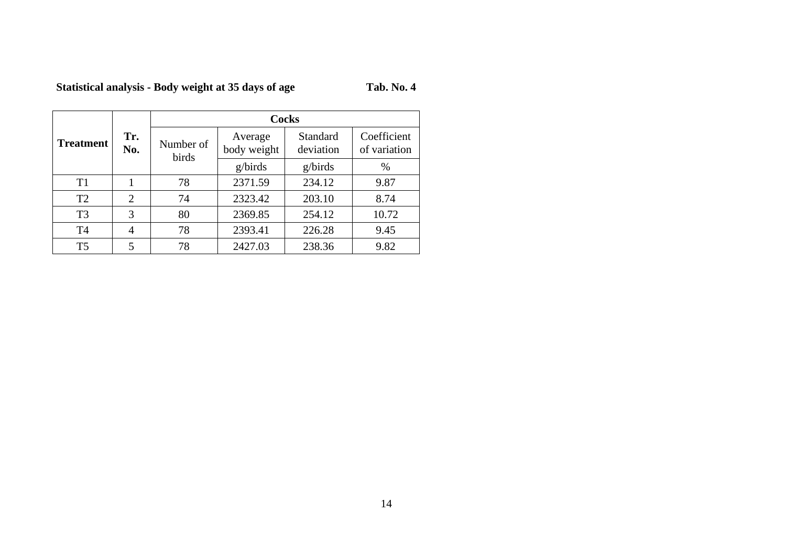## **Statistical analysis - Body weight at 35 days of age**

| Tab. No. 4 |  |
|------------|--|
|------------|--|

|                  |                |                    | <b>Cocks</b>           |         |                             |
|------------------|----------------|--------------------|------------------------|---------|-----------------------------|
| <b>Treatment</b> | Tr.<br>No.     | Number of<br>birds | Average<br>body weight |         | Coefficient<br>of variation |
|                  |                |                    | g/birds                | g/birds | $\%$                        |
| T1               |                | 78                 | 2371.59                | 234.12  | 9.87                        |
| T <sub>2</sub>   | $\overline{2}$ | 74                 | 2323.42                | 203.10  | 8.74                        |
| T <sub>3</sub>   | 3              | 80                 | 2369.85                | 254.12  | 10.72                       |
| T <sub>4</sub>   | 4              | 78                 | 2393.41                | 226.28  | 9.45                        |
| T <sub>5</sub>   | 5              | 78                 | 2427.03                | 238.36  | 9.82                        |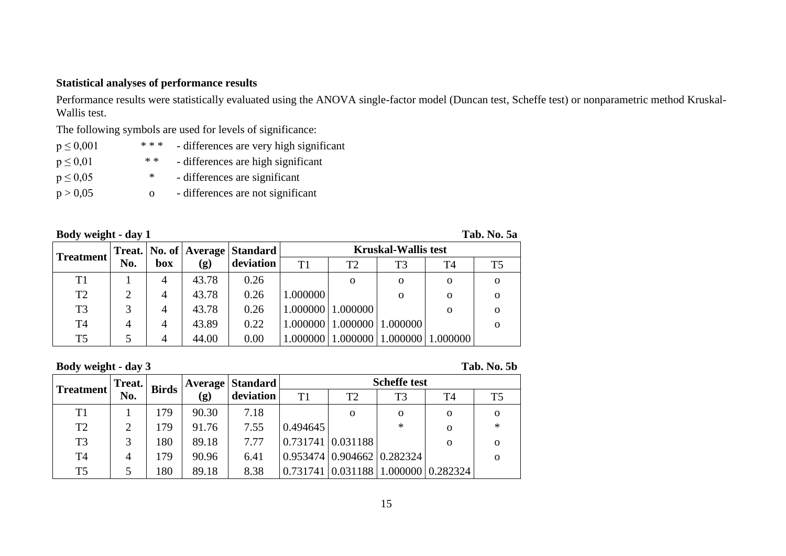### **Statistical analyses of performance results**

Performance results were statistically evaluated using the ANOVA single-factor model (Duncan test, Scheffe test) or nonparametric method Kruskal-Wallis test.

The following symbols are used for levels of significance:

| $p \le 0,001$ | * * * | - differences are very high significant |
|---------------|-------|-----------------------------------------|
| $p \leq 0.01$ | * *   | - differences are high significant      |
| $p \leq 0.05$ | ∗     | - differences are significant           |
| p > 0,05      | Ω     | - differences are not significant       |

| Body weight - day 1 |  |
|---------------------|--|
|                     |  |

**Body weight - day 1 Tab. No. 5a**

| Treatment      |     |     |       | Treat.   No. of   Average   Standard | <b>Kruskal-Wallis test</b> |                                |          |          |          |  |
|----------------|-----|-----|-------|--------------------------------------|----------------------------|--------------------------------|----------|----------|----------|--|
|                | No. | box | (g)   | deviation                            | T1                         | T2                             | T3       | Τ4       | T5       |  |
| T1             |     | 4   | 43.78 | 0.26                                 |                            | O                              | 0        | 0        | $\Omega$ |  |
| T <sub>2</sub> |     | 4   | 43.78 | 0.26                                 | 1.000000                   |                                | O        | $\Omega$ | $\Omega$ |  |
| T <sub>3</sub> |     | 4   | 43.78 | 0.26                                 |                            | 1.000000   1.000000            |          | $\Omega$ | $\Omega$ |  |
| T <sub>4</sub> | 4   | 4   | 43.89 | 0.22                                 |                            | 1.000000   1.000000   1.000000 |          |          | $\Omega$ |  |
| T <sub>5</sub> |     | 4   | 44.00 | 0.00                                 |                            | $1.000000$   1.000000          | 1.000000 | 1.000000 |          |  |

**Body weight - day 3 Tab. No. 5b**

|                  | Treat.<br><b>Birds</b> |     |                            | <b>Average   Standard  </b> | <b>Scheffe test</b> |                                        |          |                                  |    |
|------------------|------------------------|-----|----------------------------|-----------------------------|---------------------|----------------------------------------|----------|----------------------------------|----|
| <b>Treatment</b> | No.                    |     | $\left( \mathbf{g}\right)$ | deviation                   | T1                  | T <sub>2</sub>                         | T3       | T4                               | T5 |
| T1               |                        | 179 | 90.30                      | 7.18                        |                     | $\Omega$                               | $\Omega$ | $\Omega$                         |    |
| T <sub>2</sub>   | 2                      | 179 | 91.76                      | 7.55                        | 0.494645            |                                        | ∗        | $\Omega$                         | ∗  |
| T <sub>3</sub>   | 3                      | 180 | 89.18                      | 7.77                        |                     | $0.731741 \mid 0.031188$               |          | $\Omega$                         |    |
| T <sub>4</sub>   | 4                      | 179 | 90.96                      | 6.41                        |                     | $0.953474 \mid 0.904662 \mid 0.282324$ |          |                                  |    |
| T <sub>5</sub>   |                        | 180 | 89.18                      | 8.38                        | 0.731741            |                                        |          | $0.031188$   1.000000   0.282324 |    |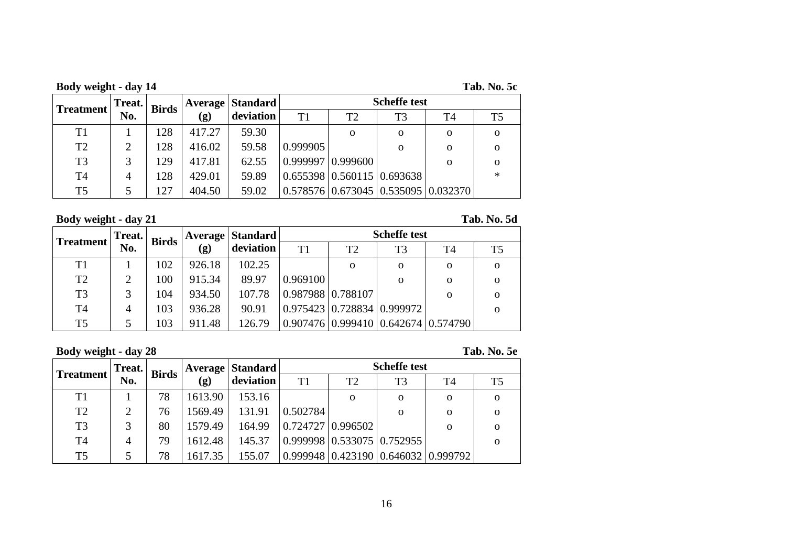| Body weight - day 14 | Tab. No. 5c |
|----------------------|-------------|
|                      |             |

| Tab. No. 5c |  |  |
|-------------|--|--|
|-------------|--|--|

| <b>Treatment</b> | Treat. | <b>Birds</b> |        | Average   Standard | <b>Scheffe test</b> |                              |          |                                            |                |
|------------------|--------|--------------|--------|--------------------|---------------------|------------------------------|----------|--------------------------------------------|----------------|
|                  | No.    |              | (g)    | deviation          | T <sub>1</sub>      | T <sub>2</sub>               | T3       | T4                                         | T <sub>5</sub> |
| T <sub>1</sub>   |        | 128          | 417.27 | 59.30              |                     | $\Omega$                     | $\Omega$ | $\Omega$                                   |                |
| T <sub>2</sub>   | 2      | 128          | 416.02 | 59.58              | 0.999905            |                              | $\Omega$ | 0                                          | Ω              |
| T <sub>3</sub>   | 3      | 129          | 417.81 | 62.55              |                     | $(0.999997)$ $(0.999600)$    |          | 0                                          | Ω              |
| T <sub>4</sub>   | 4      | 128          | 429.01 | 59.89              |                     | (0.655398)0.560115(0.693638) |          |                                            | $\ast$         |
| T <sub>5</sub>   |        | 127          | 404.50 | 59.02              |                     |                              |          | $(0.578576)(0.673045)(0.535095)(0.032370)$ |                |

**Body weight - day 21 Tab. No. 5d**

|                | Treat.         | <b>Birds</b> |                            | <b>Average   Standard</b> | <b>Scheffe test</b>                |                |                |                                           |          |
|----------------|----------------|--------------|----------------------------|---------------------------|------------------------------------|----------------|----------------|-------------------------------------------|----------|
| Treatment      | No.            |              | $\left( \mathbf{g}\right)$ | deviation                 | T1                                 | T <sub>2</sub> | T <sub>3</sub> | T4                                        | T5       |
| T1             |                | 102          | 926.18                     | 102.25                    |                                    | $\Omega$       | $\Omega$       | 0                                         | $\Omega$ |
| T <sub>2</sub> | $\overline{2}$ | 100          | 915.34                     | 89.97                     | 0.969100                           |                | $\Omega$       | 0                                         | $\Omega$ |
| T <sub>3</sub> | 3              | 104          | 934.50                     | 107.78                    | $\left  0.987988 \right  0.788107$ |                |                | O                                         | $\Omega$ |
| T <sub>4</sub> | 4              | 103          | 936.28                     | 90.91                     | 0.975423   0.728834   0.999972     |                |                |                                           | $\Omega$ |
| T <sub>5</sub> | 5.             | 103          | 911.48                     | 126.79                    |                                    |                |                | 0.907476   0.999410   0.642674   0.574790 |          |

**Body weight - day 28 Tab. No. 5e**

| <b>Treatment</b> | Treat. | <b>Birds</b> |                            | Average   Standard | <b>Scheffe test</b> |                                        |          |                                             |          |  |
|------------------|--------|--------------|----------------------------|--------------------|---------------------|----------------------------------------|----------|---------------------------------------------|----------|--|
|                  | No.    |              | $\left( \mathbf{g}\right)$ | deviation          | T1                  | T <sub>2</sub>                         | T3       | Τ4                                          | T5       |  |
| T1               |        | 78           | 1613.90                    | 153.16             |                     | $\Omega$                               | $\Omega$ | $\Omega$                                    | $\Omega$ |  |
| T <sub>2</sub>   | 2      | 76           | 1569.49                    | 131.91             | 0.502784            |                                        | $\Omega$ | O                                           | $\Omega$ |  |
| T <sub>3</sub>   | 3      | 80           | 1579.49                    | 164.99             |                     | $0.724727 \mid 0.996502$               |          | Ω                                           | 0        |  |
| T <sub>4</sub>   | 4      | 79           | 1612.48                    | 145.37             |                     | $0.999998 \mid 0.533075 \mid 0.752955$ |          |                                             | $\Omega$ |  |
| T <sub>5</sub>   |        | 78           | 1617.35                    | 155.07             |                     |                                        |          | $0.999948   0.423190   0.646032   0.999792$ |          |  |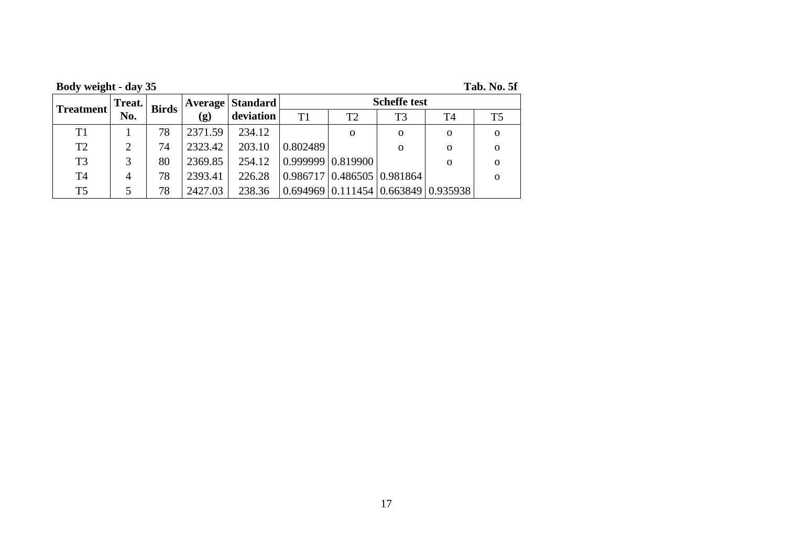|  | Body weight - day 35 |  |  |
|--|----------------------|--|--|
|  |                      |  |  |

**Fab. No. 5f** 

| Treatment      | Treat. | <b>Birds</b> | Average                     | <b>Standard</b> |          |                            |          | <b>Scheffe test</b>                    |                |  |  |  |
|----------------|--------|--------------|-----------------------------|-----------------|----------|----------------------------|----------|----------------------------------------|----------------|--|--|--|
|                | No.    |              | $\left( \mathbf{g} \right)$ | deviation       | T1       | T2                         | T3       | Т4                                     | T <sub>5</sub> |  |  |  |
| T1             |        | 78           | 2371.59                     | 234.12          |          | $\Omega$                   | $\Omega$ | $\Omega$                               | $\Omega$       |  |  |  |
| T <sub>2</sub> | ∍      | 74           | 2323.42                     | 203.10          | 0.802489 |                            | O        | $\Omega$                               |                |  |  |  |
| T <sub>3</sub> |        | 80           | 2369.85                     | 254.12          |          | 0.999999   0.819900        |          | $\Omega$                               |                |  |  |  |
| T <sub>4</sub> | 4      | 78           | 2393.41                     | 226.28          |          | 0.986717 0.486505 0.981864 |          |                                        |                |  |  |  |
| T <sub>5</sub> |        | 78           | 2427.03                     | 238.36          | 0.694969 |                            |          | $0.111454 \mid 0.663849 \mid 0.935938$ |                |  |  |  |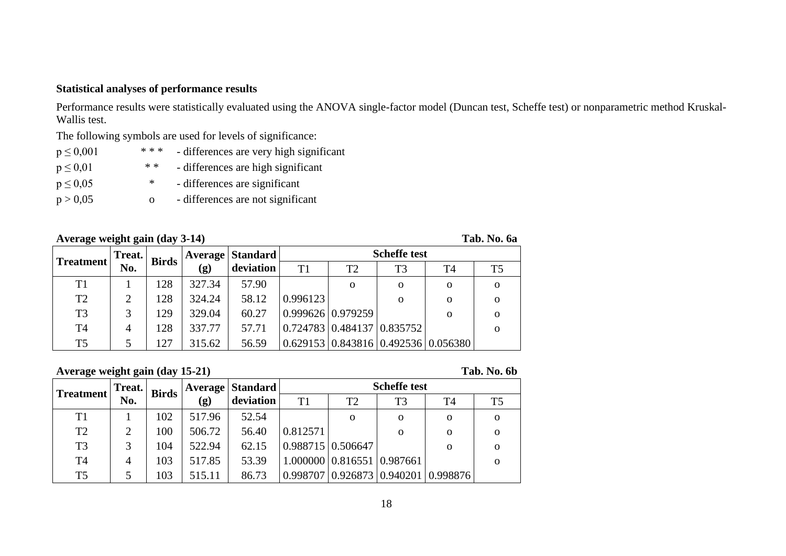### **Statistical analyses of performance results**

Performance results were statistically evaluated using the ANOVA single-factor model (Duncan test, Scheffe test) or nonparametric method Kruskal-Wallis test.

The following symbols are used for levels of significance:

| $p \le 0,001$ | * * * | - differences are very high significant |
|---------------|-------|-----------------------------------------|
| $p \leq 0.01$ | * *   | - differences are high significant      |
| $p \leq 0.05$ | ∗     | - differences are significant           |
| p > 0,05      | O     | - differences are not significant       |

### **Average weight gain (day 3-14) Tab. No. 6a**

| <b>Treatment</b> | Treat. | <b>Birds</b> | <b>Average</b>             | <b>Standard</b> |                          |                                        |                | <b>Scheffe test</b>                         |                |  |  |  |
|------------------|--------|--------------|----------------------------|-----------------|--------------------------|----------------------------------------|----------------|---------------------------------------------|----------------|--|--|--|
|                  | No.    |              | $\left( \mathbf{g}\right)$ | deviation       | T1                       | T2                                     | T <sub>3</sub> | Τ4                                          | T <sub>5</sub> |  |  |  |
| T1               |        | 128          | 327.34                     | 57.90           |                          | $\Omega$                               | $\Omega$       | $\Omega$                                    | $\Omega$       |  |  |  |
| T <sub>2</sub>   | 2      | 128          | 324.24                     | 58.12           | 0.996123                 |                                        | 0              | $\Omega$                                    | $\Omega$       |  |  |  |
| T <sub>3</sub>   | 3      | 129          | 329.04                     | 60.27           | $0.999626 \mid 0.979259$ |                                        |                | $\Omega$                                    | $\Omega$       |  |  |  |
| T <sub>4</sub>   | 4      | 128          | 337.77                     | 57.71           |                          | $0.724783 \mid 0.484137 \mid 0.835752$ |                |                                             |                |  |  |  |
| T <sub>5</sub>   |        | 127          | 315.62                     | 56.59           |                          |                                        |                | $0.629153   0.843816   0.492536   0.056380$ |                |  |  |  |

**Average weight gain (day 15-21) Tab. No. 6b**

| <b>Treatment</b> | Treat. | <b>Birds</b> | Average | <b>Standard</b> |                |                          | <b>Scheffe test</b>  |          |          |  |  |  |
|------------------|--------|--------------|---------|-----------------|----------------|--------------------------|----------------------|----------|----------|--|--|--|
|                  | No.    |              | (g)     | deviation       | T <sub>1</sub> | T <sub>2</sub>           | T <sub>3</sub><br>T4 |          | T5       |  |  |  |
| T1               |        | 102          | 517.96  | 52.54           |                | $\Omega$                 | $\Omega$             | $\Omega$ | O        |  |  |  |
| T <sub>2</sub>   | 2      | 100          | 506.72  | 56.40           | 0.812571       |                          | $\Omega$             | $\Omega$ | O        |  |  |  |
| T <sub>3</sub>   | 3      | 104          | 522.94  | 62.15           |                | $0.988715 \mid 0.506647$ |                      | O        | O        |  |  |  |
| T <sub>4</sub>   | 4      | 103          | 517.85  | 53.39           | 1.000000       | 0.816551   0.987661      |                      |          | $\Omega$ |  |  |  |
| T <sub>5</sub>   |        | 103          | 515.11  | 86.73           | 0.998707       | 0.926873 0.940201        |                      | 0.998876 |          |  |  |  |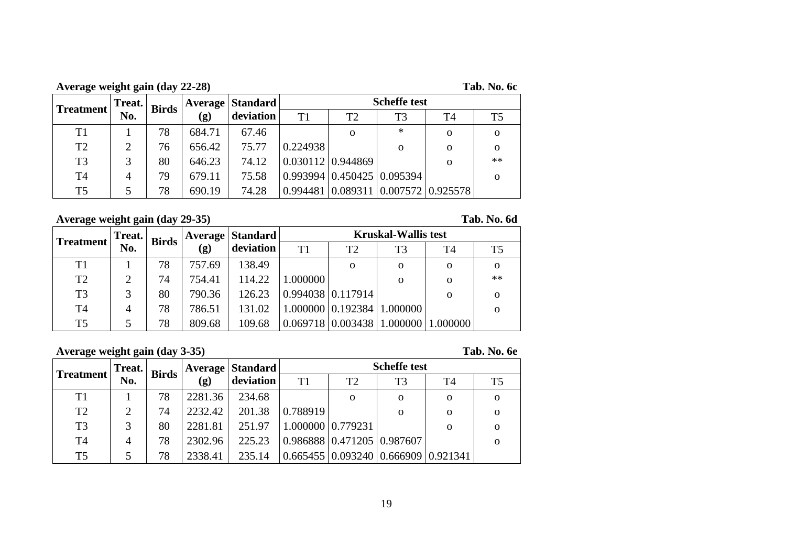**Average weight gain (day 22-28) Tab. No. 6c**

|  | Гаb. No. 6c |  |
|--|-------------|--|
|--|-------------|--|

| <b>Treatment</b> | Treat. | <b>Birds</b> |                            | <b>Average   Standard  </b> |          | <b>Scheffe test</b>                         |                |                                |          |  |
|------------------|--------|--------------|----------------------------|-----------------------------|----------|---------------------------------------------|----------------|--------------------------------|----------|--|
|                  | No.    |              | $\left( \mathbf{g}\right)$ | deviation                   | T1       | T2                                          | T <sub>3</sub> | T4                             | T5       |  |
| T1               |        | 78           | 684.71                     | 67.46                       |          | O                                           | $\ast$         | $\Omega$                       | $\Omega$ |  |
| T <sub>2</sub>   |        | 76           | 656.42                     | 75.77                       | 0.224938 |                                             | 0              | 0                              | 0        |  |
| T <sub>3</sub>   |        | 80           | 646.23                     | 74.12                       |          | $0.030112 \mid 0.944869$                    |                | 0                              | $**$     |  |
| T <sub>4</sub>   | 4      | 79           | 679.11                     | 75.58                       |          | $0.993994 \mid 0.450425 \mid 0.095394 \mid$ |                |                                |          |  |
| T <sub>5</sub>   |        | 78           | 690.19                     | 74.28                       | 0.994481 |                                             |                | 0.089311   0.007572   0.925578 |          |  |

**Average weight gain (day 29-35) Tab. No. 6d**

|                | Treat.<br><b>Birds</b> |    | <b>Average</b>             | <b>Standard</b> |          | <b>Kruskal-Wallis test</b>             |             |          |          |  |  |  |
|----------------|------------------------|----|----------------------------|-----------------|----------|----------------------------------------|-------------|----------|----------|--|--|--|
| Treatment      | No.                    |    | $\left( \mathbf{g}\right)$ | deviation       | T1       | T <sub>2</sub><br>T <sub>3</sub><br>T4 |             | T5       |          |  |  |  |
| T1             |                        | 78 | 757.69                     | 138.49          |          | $\Omega$                               | $\Omega$    | $\Omega$ | $\Omega$ |  |  |  |
| T <sub>2</sub> | C                      | 74 | 754.41                     | 114.22          | 1.000000 |                                        | $\mathbf 0$ | $\Omega$ | $**$     |  |  |  |
| T <sub>3</sub> | 3                      | 80 | 790.36                     | 126.23          |          | $0.994038 \mid 0.117914 \mid$          |             | $\Omega$ | O        |  |  |  |
| T <sub>4</sub> | 4                      | 78 | 786.51                     | 131.02          |          | 1.000000 0.192384 1.000000             |             |          | $\Omega$ |  |  |  |
| T <sub>5</sub> |                        | 78 | 809.68                     | 109.68          | 0.069718 | 0.003438                               | 1.000000    | 1.000000 |          |  |  |  |

### **Average weight gain (day 3-35) Tab. No. 6e**

| <b>Treatment</b> | Treat. | <b>Birds</b> |                            | Average   Standard |                            | <b>Scheffe test</b>                                  |          |                |          |  |  |  |
|------------------|--------|--------------|----------------------------|--------------------|----------------------------|------------------------------------------------------|----------|----------------|----------|--|--|--|
|                  | No.    |              | $\left( \mathbf{g}\right)$ | deviation          | T1<br>T2<br>T <sub>3</sub> |                                                      | T4       | T <sub>5</sub> |          |  |  |  |
| T <sub>1</sub>   |        | 78           | 2281.36                    | 234.68             |                            | $\Omega$                                             | $\Omega$ | $\Omega$       | $\Omega$ |  |  |  |
| T <sub>2</sub>   | 2      | 74           | 2232.42                    | 201.38             | 0.788919                   |                                                      | $\Omega$ | 0              | $\Omega$ |  |  |  |
| T <sub>3</sub>   | 3      | 80           | 2281.81                    | 251.97             |                            | 1.000000 0.779231                                    |          | $\Omega$       | $\Omega$ |  |  |  |
| T <sub>4</sub>   | 4      | 78           | 2302.96                    | 225.23             |                            | 0.986888 0.471205 0.987607                           |          |                | $\Omega$ |  |  |  |
| T <sub>5</sub>   |        | 78           | 2338.41                    | 235.14             |                            | $0.665455 \mid 0.093240 \mid 0.666909 \mid 0.921341$ |          |                |          |  |  |  |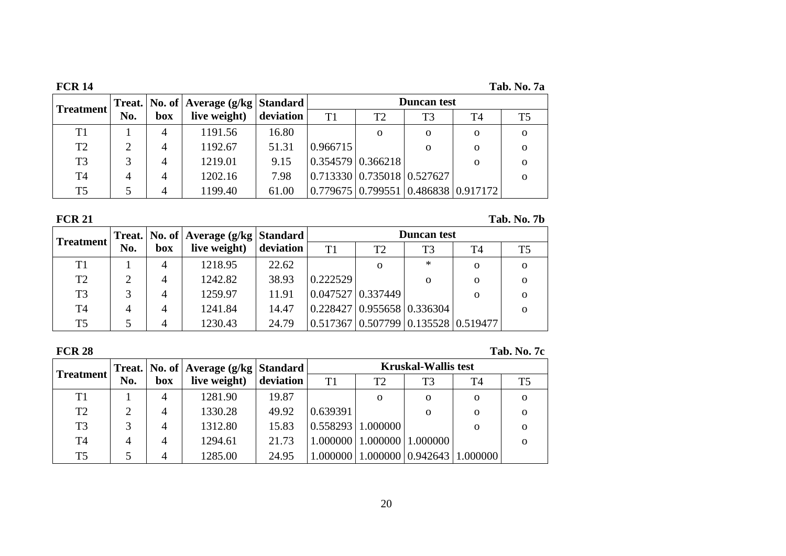| <b>FCR 14</b>  |     |     |                                            |           |          |                                                |                    |          | Tab. No. 7a    |
|----------------|-----|-----|--------------------------------------------|-----------|----------|------------------------------------------------|--------------------|----------|----------------|
| Treatment      |     |     | Treat.   No. of   Average (g/kg   Standard |           |          |                                                | <b>Duncan</b> test |          |                |
|                | No. | box | live weight)                               | deviation | T1       | T <sub>2</sub>                                 | T <sub>3</sub>     | T4       | T <sub>5</sub> |
| T1             |     | 4   | 1191.56                                    | 16.80     |          | $\Omega$                                       | $\Omega$           | 0        | $\mathbf{o}$   |
| T2             | 2   | 4   | 1192.67                                    | 51.31     | 0.966715 |                                                | $\Omega$           | $\Omega$ | $\Omega$       |
| T <sub>3</sub> | 3   | 4   | 1219.01                                    | 9.15      |          | $0.354579$ 0.366218                            |                    | $\Omega$ | $\Omega$       |
| T <sub>4</sub> | 4   | 4   | 1202.16                                    | 7.98      |          | $\vert 0.713330 \vert 0.735018 \vert 0.527627$ |                    |          | $\Omega$       |
| T <sub>5</sub> |     | 4   | 1199.40                                    | 61.00     |          | 0.779675   0.799551   0.486838   0.917172      |                    |          |                |

| <b>FCR 21</b>    |                             |     |              |                                                                  |          |                                                                     |                |                | Tab. No. 7b |  |  |
|------------------|-----------------------------|-----|--------------|------------------------------------------------------------------|----------|---------------------------------------------------------------------|----------------|----------------|-------------|--|--|
| <b>Treatment</b> |                             |     |              | <b>Duncan test</b><br>Treat.   No. of   Average (g/kg   Standard |          |                                                                     |                |                |             |  |  |
|                  | No.                         | box | live weight) | deviation                                                        | T1       | T2                                                                  | T <sub>3</sub> | T <sub>4</sub> | T5          |  |  |
| T1               |                             | 4   | 1218.95      | 22.62                                                            |          | $\mathbf{O}$                                                        | $\ast$         | $\Omega$       | $\Omega$    |  |  |
| T <sub>2</sub>   | $\mathcal{D}_{\mathcal{L}}$ | 4   | 1242.82      | 38.93                                                            | 0.222529 |                                                                     | $\Omega$       | $\Omega$       | $\Omega$    |  |  |
| T <sub>3</sub>   | 3                           | 4   | 1259.97      | 11.91                                                            |          | $0.047527 \mid 0.337449$                                            |                | $\mathbf{O}$   | $\Omega$    |  |  |
| T <sub>4</sub>   | 4                           | 4   | 1241.84      | 14.47                                                            |          | $0.228427 \mid 0.955658 \mid 0.336304 \mid$                         |                |                | $\Omega$    |  |  |
| T <sub>5</sub>   |                             | 4   | 1230.43      | 24.79                                                            |          | $\vert 0.517367 \vert 0.507799 \vert 0.135528 \vert 0.519477 \vert$ |                |                |             |  |  |

| <b>FCR 28</b>    |        |     |                                   |           |          |                                           |                            |                | <b>Tab. No. 7c</b> |
|------------------|--------|-----|-----------------------------------|-----------|----------|-------------------------------------------|----------------------------|----------------|--------------------|
| <b>Treatment</b> | Treat. |     | No. of   Average (g/kg   Standard |           |          |                                           | <b>Kruskal-Wallis test</b> |                |                    |
|                  | No.    | box | live weight)                      | deviation | T1       | T2                                        | T <sub>3</sub>             | T <sub>4</sub> | T <sub>5</sub>     |
| T1               |        | 4   | 1281.90                           | 19.87     |          | $\Omega$                                  | $\Omega$                   | $\Omega$       | $\Omega$           |
| T <sub>2</sub>   |        | 4   | 1330.28                           | 49.92     | 0.639391 |                                           | $\Omega$                   | $\Omega$       | $\Omega$           |
| T <sub>3</sub>   |        | 4   | 1312.80                           | 15.83     | 0.558293 | 1.000000                                  |                            | $\Omega$       | $\Omega$           |
| T <sub>4</sub>   | 4      | 4   | 1294.61                           | 21.73     | 1.000000 | 1.000000                                  | 1.000000                   |                | $\Omega$           |
| T <sub>5</sub>   |        | 4   | 1285.00                           | 24.95     |          | 1.000000   1.000000   0.942643   1.000000 |                            |                |                    |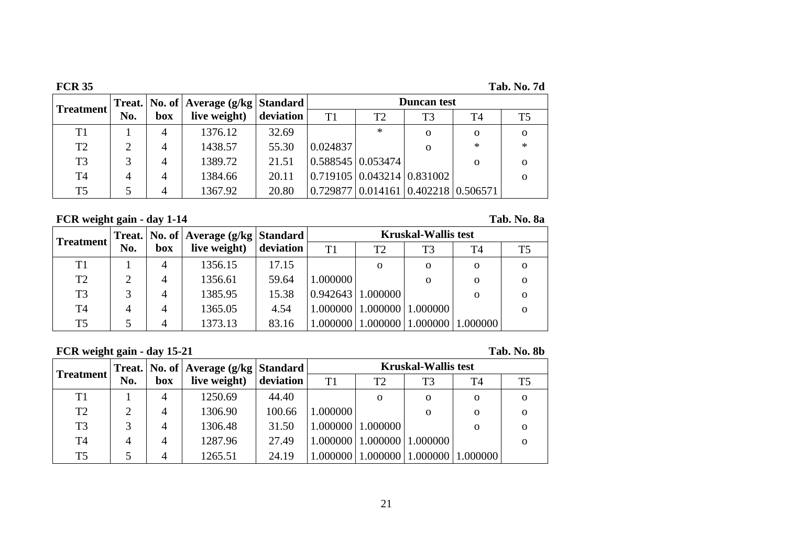| <b>FCR 35</b>    |                |                |                                            |           |          |                                        |                |          | Tab. No. 7d    |  |
|------------------|----------------|----------------|--------------------------------------------|-----------|----------|----------------------------------------|----------------|----------|----------------|--|
|                  |                |                | Treat.   No. of   Average (g/kg   Standard |           |          | <b>Duncan</b> test                     |                |          |                |  |
| <b>Treatment</b> | No.            | box            | live weight)                               | deviation | T1       | T2                                     | T <sub>3</sub> | T4       | T <sub>5</sub> |  |
| T1               |                | 4              | 1376.12                                    | 32.69     |          | $\ast$                                 | $\Omega$       | $\Omega$ | $\Omega$       |  |
| T <sub>2</sub>   | າ              | 4              | 1438.57                                    | 55.30     | 0.024837 |                                        | $\Omega$       | $\ast$   | $\ast$         |  |
| T <sub>3</sub>   |                | 4              | 1389.72                                    | 21.51     |          | $0.588545 \mid 0.053474 \mid$          |                | $\Omega$ | $\Omega$       |  |
| T <sub>4</sub>   | $\overline{4}$ | 4              | 1384.66                                    | 20.11     |          | $0.719105 \mid 0.043214 \mid 0.831002$ |                |          | $\Omega$       |  |
| T <sub>5</sub>   |                | $\overline{4}$ | 1367.92                                    | 20.80     | 0.729877 | 0.014161   0.402218   0.506571         |                |          |                |  |

**FCR weight gain - day 1-14 Tab. No. 8a**

|                  |     |     | Treat.   No. of   Average (g/kg   Standard |           | <b>Kruskal-Wallis test</b> |                                 |                |          |          |  |
|------------------|-----|-----|--------------------------------------------|-----------|----------------------------|---------------------------------|----------------|----------|----------|--|
| <b>Treatment</b> | No. | box | live weight)                               | deviation | T1                         | T2                              | T <sub>3</sub> | T4       | T5       |  |
| T1               |     | 4   | 1356.15                                    | 17.15     |                            | 0                               | $\Omega$       | 0        |          |  |
| T <sub>2</sub>   |     | 4   | 1356.61                                    | 59.64     | 1.000000                   |                                 | $\Omega$       | 0        | $\Omega$ |  |
| T <sub>3</sub>   |     | 4   | 1385.95                                    | 15.38     |                            | $\vert 0.942643 \vert 1.000000$ |                | $\Omega$ | $\Omega$ |  |
| T <sub>4</sub>   | 4   | 4   | 1365.05                                    | 4.54      |                            | 1.000000   1.000000             | 1.000000       |          | $\Omega$ |  |
| T <sub>5</sub>   |     | 4   | 1373.13                                    | 83.16     |                            | 1.000000   1.000000             | 1.000000       | 1.000000 |          |  |

## **FCR weight gain - day 15-21 Tab. No. 8b**

| <b>Treatment</b> |     |     | Treat.   No. of   Average (g/kg   Standard |           | <b>Kruskal-Wallis test</b> |                                |                |                |          |  |
|------------------|-----|-----|--------------------------------------------|-----------|----------------------------|--------------------------------|----------------|----------------|----------|--|
|                  | No. | box | live weight)                               | deviation | T <sub>1</sub>             | T <sub>2</sub>                 | T <sub>3</sub> | T <sub>4</sub> | T5       |  |
| T1               |     | 4   | 1250.69                                    | 44.40     |                            | $\Omega$                       | O              | $\mathbf 0$    | $\Omega$ |  |
| T2               | ∍   | 4   | 1306.90                                    | 100.66    | 1.000000                   |                                | O              | $\Omega$       | $\Omega$ |  |
| T <sub>3</sub>   |     | 4   | 1306.48                                    | 31.50     |                            | 1.000000   1.000000            |                | $\Omega$       | $\Omega$ |  |
| T <sub>4</sub>   | 4   | 4   | 1287.96                                    | 27.49     |                            | 1.000000   1.000000   1.000000 |                |                | $\Omega$ |  |
| T <sub>5</sub>   |     | 4   | 1265.51                                    | 24.19     | 1.000000                   | 1.000000                       | 1.000000       | 1.000000       |          |  |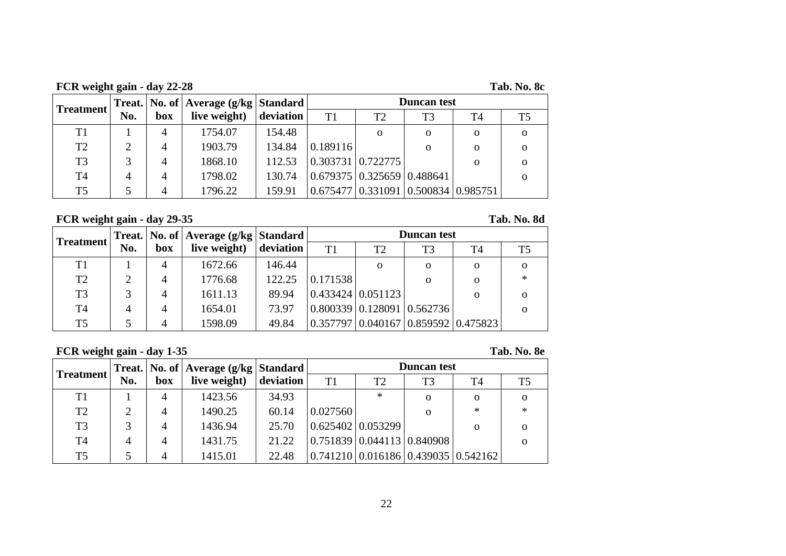**FCR weight gain - day 22-28 Tab. No. 8c**

| <b>Treatment</b> |     |     | Treat.   No. of   Average (g/kg   Standard |        | <b>Duncan</b> test                                         |    |                                      |              |    |  |
|------------------|-----|-----|--------------------------------------------|--------|------------------------------------------------------------|----|--------------------------------------|--------------|----|--|
|                  | No. | box | live weight) $\vert$ deviation             |        | T1                                                         | T2 | T3                                   | T4           | T5 |  |
| T1               |     | 4   | 1754.07                                    | 154.48 |                                                            | 0  | 0                                    | $\mathbf{O}$ |    |  |
| T <sub>2</sub>   | ∍   | 4   | 1903.79                                    | 134.84 | 0.189116                                                   |    | $\Omega$                             | $\Omega$     |    |  |
| T <sub>3</sub>   |     | 4   | 1868.10                                    | 112.53 | $\vert 0.303731 \vert 0.722775 \vert$                      |    |                                      | $\Omega$     |    |  |
| T <sub>4</sub>   | 4   | 4   | 1798.02                                    | 130.74 | $\left  0.679375 \right  0.325659 \left  0.488641 \right $ |    |                                      |              |    |  |
| T <sub>5</sub>   |     |     | 1796.22                                    | 159.91 |                                                            |    | (0.675477(0.331091(0.500834(0.985751 |              |    |  |

**FCR weight gain - day 29-35 Tab. No. 8d**

|                |     |     | Treat.   No. of   Average (g/kg   Standard |           | <b>Duncan</b> test                    |                                                      |                |                                           |                |  |  |
|----------------|-----|-----|--------------------------------------------|-----------|---------------------------------------|------------------------------------------------------|----------------|-------------------------------------------|----------------|--|--|
| Treatment      | No. | box | live weight)                               | deviation | T1                                    | T2                                                   | T <sub>3</sub> | T4                                        | T <sub>5</sub> |  |  |
| T <sub>1</sub> |     | 4   | 1672.66                                    | 146.44    |                                       | $\Omega$                                             | $\Omega$       | 0                                         | $\Omega$       |  |  |
| T <sub>2</sub> |     | 4   | 1776.68                                    | 122.25    | 0.171538                              |                                                      | $\Omega$       | O                                         | $\ast$         |  |  |
| T <sub>3</sub> |     | 4   | 1611.13                                    | 89.94     | $\vert 0.433424 \vert 0.051123 \vert$ |                                                      |                | $\Omega$                                  | $\Omega$       |  |  |
| T <sub>4</sub> | 4   | 4   | 1654.01                                    | 73.97     |                                       | $\vert 0.800339 \vert 0.128091 \vert 0.562736 \vert$ |                |                                           | Ω              |  |  |
| T <sub>5</sub> |     | 4   | 1598.09                                    | 49.84     |                                       |                                                      |                | 0.357797   0.040167   0.859592   0.475823 |                |  |  |

## **FCR weight gain - day 1-35 Tab. No. 8e**

| <b>Treatment</b> |     |     | Treat.   No. of   Average (g/kg   Standard |           | <b>Duncan test</b> |                                                     |                |                                            |    |  |
|------------------|-----|-----|--------------------------------------------|-----------|--------------------|-----------------------------------------------------|----------------|--------------------------------------------|----|--|
|                  | No. | box | live weight)                               | deviation | T <sub>1</sub>     | T <sub>2</sub>                                      | T <sub>3</sub> | <b>T4</b>                                  | T5 |  |
| T1               |     |     | 1423.56                                    | 34.93     |                    | $\ast$                                              | $\Omega$       | $\Omega$                                   |    |  |
| T <sub>2</sub>   | ↑   | 4   | 1490.25                                    | 60.14     | 0.027560           |                                                     | $\Omega$       | $\ast$                                     | *  |  |
| T <sub>3</sub>   | 3   |     | 1436.94                                    | 25.70     |                    | $\vert 0.625402 \vert 0.053299 \vert$               |                | $\Omega$                                   |    |  |
| T <sub>4</sub>   | 4   | 4   | 1431.75                                    | 21.22     |                    | $\left  0.751839 \right  0.044113 \right  0.840908$ |                |                                            |    |  |
| T <sub>5</sub>   |     |     | 1415.01                                    | 22.48     |                    |                                                     |                | $(0.741210)(0.016186)(0.439035)(0.542162)$ |    |  |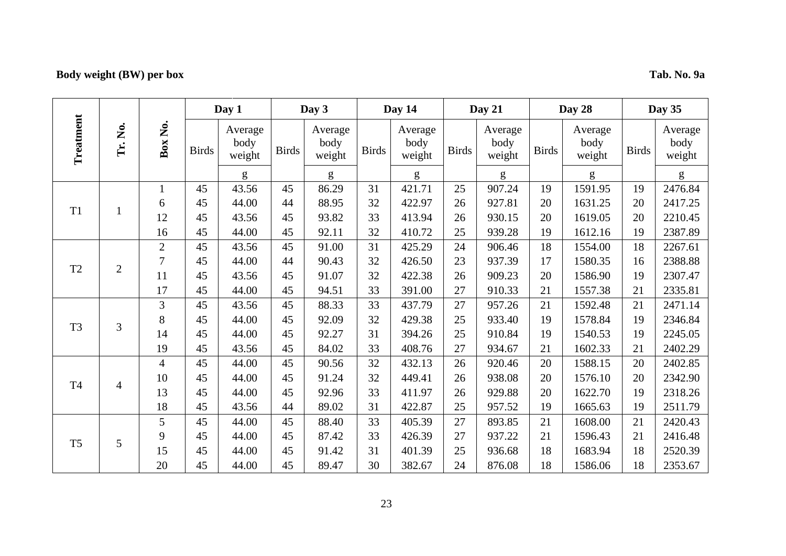## **Body weight (BW) per box Tab. No. 9a**

|                |                |                  |              | Day 1                     |              | Day 3                     |              | Day 14                    |              | Day 21                    |              | Day 28                    |              | Day 35                    |
|----------------|----------------|------------------|--------------|---------------------------|--------------|---------------------------|--------------|---------------------------|--------------|---------------------------|--------------|---------------------------|--------------|---------------------------|
| Treatment      | Tr. No.        | Box No.          | <b>Birds</b> | Average<br>body<br>weight | <b>Birds</b> | Average<br>body<br>weight | <b>Birds</b> | Average<br>body<br>weight | <b>Birds</b> | Average<br>body<br>weight | <b>Birds</b> | Average<br>body<br>weight | <b>Birds</b> | Average<br>body<br>weight |
|                |                |                  |              | g                         |              | g                         |              | g                         |              | g                         |              | g                         |              | g                         |
|                |                | $\mathbf{1}$     | 45           | 43.56                     | 45           | 86.29                     | 31           | 421.71                    | 25           | 907.24                    | 19           | 1591.95                   | 19           | 2476.84                   |
| T <sub>1</sub> | $\mathbf{1}$   | 6                | 45           | 44.00                     | 44           | 88.95                     | 32           | 422.97                    | 26           | 927.81                    | 20           | 1631.25                   | 20           | 2417.25                   |
|                |                | 12               | 45           | 43.56                     | 45           | 93.82                     | 33           | 413.94                    | 26           | 930.15                    | 20           | 1619.05                   | 20           | 2210.45                   |
|                |                | 16               | 45           | 44.00                     | 45           | 92.11                     | 32           | 410.72                    | 25           | 939.28                    | 19           | 1612.16                   | 19           | 2387.89                   |
|                |                | $\overline{2}$   | 45           | 43.56                     | 45           | 91.00                     | 31           | 425.29                    | 24           | 906.46                    | 18           | 1554.00                   | 18           | 2267.61                   |
| T <sub>2</sub> | $\overline{2}$ | $\boldsymbol{7}$ | 45           | 44.00                     | 44           | 90.43                     | 32           | 426.50                    | 23           | 937.39                    | 17           | 1580.35                   | 16           | 2388.88                   |
|                |                | 11               | 45           | 43.56                     | 45           | 91.07                     | 32           | 422.38                    | 26           | 909.23                    | 20           | 1586.90                   | 19           | 2307.47                   |
|                |                | 17               | 45           | 44.00                     | 45           | 94.51                     | 33           | 391.00                    | 27           | 910.33                    | 21           | 1557.38                   | 21           | 2335.81                   |
|                | 3              | 3                | 45           | 43.56                     | 45           | 88.33                     | 33           | 437.79                    | 27           | 957.26                    | 21           | 1592.48                   | 21           | 2471.14                   |
| T <sub>3</sub> |                | 8                | 45           | 44.00                     | 45           | 92.09                     | 32           | 429.38                    | 25           | 933.40                    | 19           | 1578.84                   | 19           | 2346.84                   |
|                |                | 14               | 45           | 44.00                     | 45           | 92.27                     | 31           | 394.26                    | 25           | 910.84                    | 19           | 1540.53                   | 19           | 2245.05                   |
|                |                | 19               | 45           | 43.56                     | 45           | 84.02                     | 33           | 408.76                    | 27           | 934.67                    | 21           | 1602.33                   | 21           | 2402.29                   |
|                |                | $\overline{4}$   | 45           | 44.00                     | 45           | 90.56                     | 32           | 432.13                    | 26           | 920.46                    | 20           | 1588.15                   | 20           | 2402.85                   |
| <b>T4</b>      | $\overline{4}$ | 10               | 45           | 44.00                     | 45           | 91.24                     | 32           | 449.41                    | 26           | 938.08                    | 20           | 1576.10                   | 20           | 2342.90                   |
|                |                | 13               | 45           | 44.00                     | 45           | 92.96                     | 33           | 411.97                    | 26           | 929.88                    | 20           | 1622.70                   | 19           | 2318.26                   |
|                |                | 18               | 45           | 43.56                     | 44           | 89.02                     | 31           | 422.87                    | 25           | 957.52                    | 19           | 1665.63                   | 19           | 2511.79                   |
|                |                | 5                | 45           | 44.00                     | 45           | 88.40                     | 33           | 405.39                    | 27           | 893.85                    | 21           | 1608.00                   | 21           | 2420.43                   |
| T <sub>5</sub> | 5              | 9                | 45           | 44.00                     | 45           | 87.42                     | 33           | 426.39                    | 27           | 937.22                    | 21           | 1596.43                   | 21           | 2416.48                   |
|                |                | 15               | 45           | 44.00                     | 45           | 91.42                     | 31           | 401.39                    | 25           | 936.68                    | 18           | 1683.94                   | 18           | 2520.39                   |
|                |                | 20               | 45           | 44.00                     | 45           | 89.47                     | 30           | 382.67                    | 24           | 876.08                    | 18           | 1586.06                   | 18           | 2353.67                   |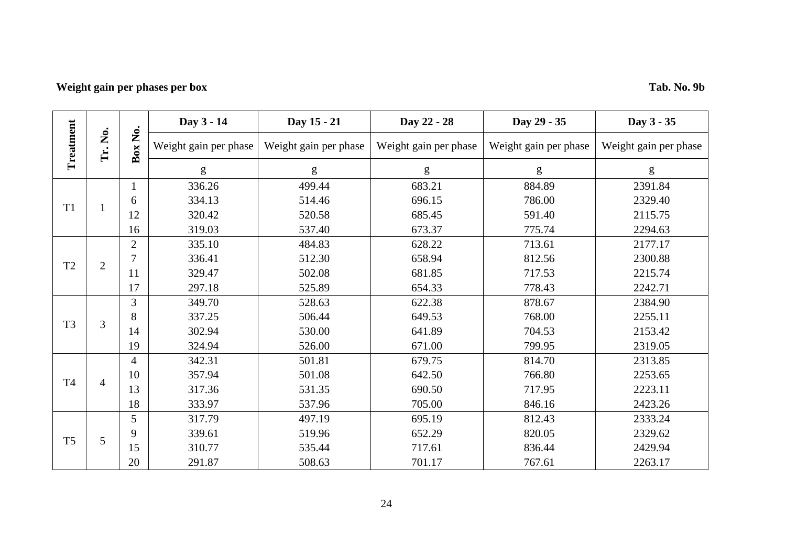## **Weight gain per phases per box Tab. No. 9b**

|                |                |                | Day 3 - 14            | Day 15 - 21           | Day 22 - 28           | Day 29 - 35           | Day 3 - 35            |
|----------------|----------------|----------------|-----------------------|-----------------------|-----------------------|-----------------------|-----------------------|
| Treatment      | Tr. No.        | Ż.<br>Box      | Weight gain per phase | Weight gain per phase | Weight gain per phase | Weight gain per phase | Weight gain per phase |
|                |                |                | g                     | g                     | g                     | g                     | ${\sf g}$             |
|                |                |                | 336.26                | 499.44                | 683.21                | 884.89                | 2391.84               |
| T <sub>1</sub> |                | 6              | 334.13                | 514.46                | 696.15                | 786.00                | 2329.40               |
|                |                | 12             | 320.42                | 520.58                | 685.45                | 591.40                | 2115.75               |
|                |                | 16             | 319.03                | 537.40                | 673.37                | 775.74                | 2294.63               |
|                |                | $\overline{2}$ | 335.10                | 484.83                | 628.22                | 713.61                | 2177.17               |
|                | $\overline{2}$ | $\overline{7}$ | 336.41                | 512.30                | 658.94                | 812.56                | 2300.88               |
| T <sub>2</sub> |                | 11             | 329.47                | 502.08                | 681.85                | 717.53                | 2215.74               |
|                |                | 17             | 297.18                | 525.89                | 654.33                | 778.43                | 2242.71               |
|                |                | 3              | 349.70                | 528.63                | 622.38                | 878.67                | 2384.90               |
| T <sub>3</sub> | 3              | 8              | 337.25                | 506.44                | 649.53                | 768.00                | 2255.11               |
|                |                | 14             | 302.94                | 530.00                | 641.89                | 704.53                | 2153.42               |
|                |                | 19             | 324.94                | 526.00                | 671.00                | 799.95                | 2319.05               |
|                |                | $\overline{4}$ | 342.31                | 501.81                | 679.75                | 814.70                | 2313.85               |
| <b>T4</b>      | $\overline{4}$ | 10             | 357.94                | 501.08                | 642.50                | 766.80                | 2253.65               |
|                |                | 13             | 317.36                | 531.35                | 690.50                | 717.95                | 2223.11               |
|                |                | 18             | 333.97                | 537.96                | 705.00                | 846.16                | 2423.26               |
|                |                | 5              | 317.79                | 497.19                | 695.19                | 812.43                | 2333.24               |
| T <sub>5</sub> | 5              | 9              | 339.61                | 519.96                | 652.29                | 820.05                | 2329.62               |
|                |                | 15             | 310.77                | 535.44                | 717.61                | 836.44                | 2429.94               |
|                |                | 20             | 291.87                | 508.63                | 701.17                | 767.61                | 2263.17               |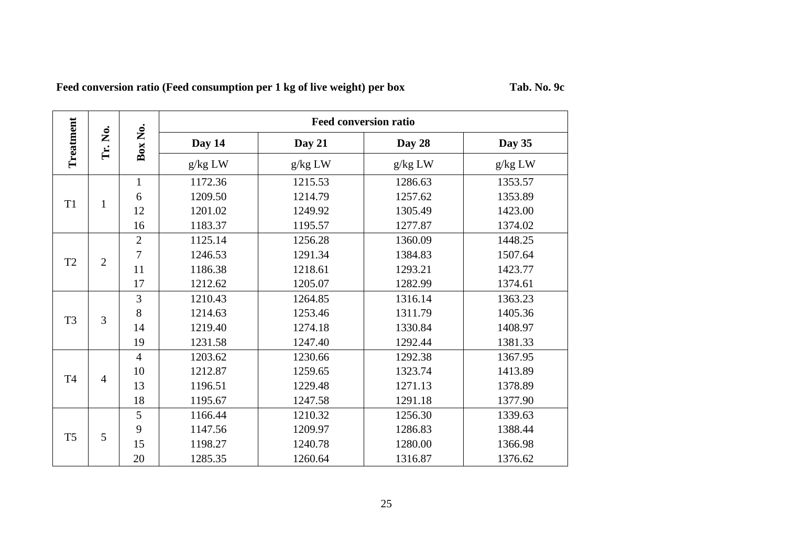| Feed conversion ratio (Feed consumption per 1 kg of live weight) per box | Tab. No. 9c |
|--------------------------------------------------------------------------|-------------|
|                                                                          |             |

|                |                |                |         | <b>Feed conversion ratio</b> |         |         |
|----------------|----------------|----------------|---------|------------------------------|---------|---------|
| Treatment      | Tr. No.        | Box No.        | Day 14  | Day 21                       | Day 28  | Day 35  |
|                |                |                | g/kg LW | g/kg LW                      | g/kg LW | g/kg LW |
|                |                | $\mathbf{1}$   | 1172.36 | 1215.53                      | 1286.63 | 1353.57 |
|                |                | 6              | 1209.50 | 1214.79                      | 1257.62 | 1353.89 |
| T <sub>1</sub> | $\mathbf{1}$   | 12             | 1201.02 | 1249.92                      | 1305.49 | 1423.00 |
|                |                | 16             | 1183.37 | 1195.57                      | 1277.87 | 1374.02 |
|                |                | $\overline{2}$ | 1125.14 | 1256.28                      | 1360.09 | 1448.25 |
| T <sub>2</sub> | $\overline{2}$ | 7              | 1246.53 | 1291.34                      | 1384.83 | 1507.64 |
|                |                | 11             | 1186.38 | 1218.61                      | 1293.21 | 1423.77 |
|                |                | 17             | 1212.62 | 1205.07                      | 1282.99 | 1374.61 |
|                |                | 3              | 1210.43 | 1264.85                      | 1316.14 | 1363.23 |
|                | 3              | 8              | 1214.63 | 1253.46                      | 1311.79 | 1405.36 |
| T <sub>3</sub> |                | 14             | 1219.40 | 1274.18                      | 1330.84 | 1408.97 |
|                |                | 19             | 1231.58 | 1247.40                      | 1292.44 | 1381.33 |
|                |                | $\overline{4}$ | 1203.62 | 1230.66                      | 1292.38 | 1367.95 |
|                |                | 10             | 1212.87 | 1259.65                      | 1323.74 | 1413.89 |
| T <sub>4</sub> | $\overline{4}$ | 13             | 1196.51 | 1229.48                      | 1271.13 | 1378.89 |
|                |                | 18             | 1195.67 | 1247.58                      | 1291.18 | 1377.90 |
|                |                | 5              | 1166.44 | 1210.32                      | 1256.30 | 1339.63 |
|                |                | 9              | 1147.56 | 1209.97                      | 1286.83 | 1388.44 |
| T <sub>5</sub> | 5              | 15             | 1198.27 | 1240.78                      | 1280.00 | 1366.98 |
|                |                | 20             | 1285.35 | 1260.64                      | 1316.87 | 1376.62 |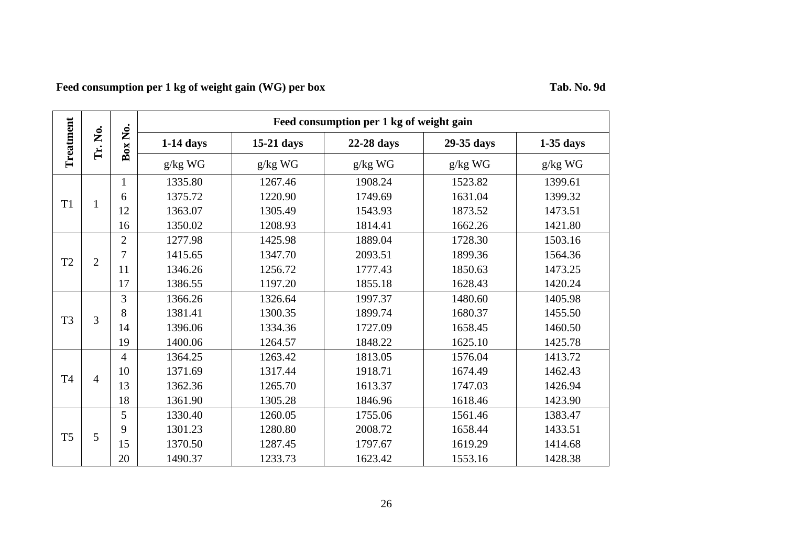**Feed consumption per 1 kg of weight gain (WG) per box Tab. No. 9d**

|                |                |                |             |            | Feed consumption per 1 kg of weight gain |            |             |
|----------------|----------------|----------------|-------------|------------|------------------------------------------|------------|-------------|
| Treatment      | Š.<br>Fr.      | Box No.        | $1-14$ days | 15-21 days | 22-28 days                               | 29-35 days | $1-35$ days |
|                |                |                | g/kg WG     | $g/kg$ WG  | $g/kg$ WG                                | g/kg WG    | g/kg WG     |
|                |                | $\mathbf{1}$   | 1335.80     | 1267.46    | 1908.24                                  | 1523.82    | 1399.61     |
| T <sub>1</sub> |                | 6              | 1375.72     | 1220.90    | 1749.69                                  | 1631.04    | 1399.32     |
|                | $\mathbf{1}$   | 12             | 1363.07     | 1305.49    | 1543.93                                  | 1873.52    | 1473.51     |
|                |                | 16             | 1350.02     | 1208.93    | 1814.41                                  | 1662.26    | 1421.80     |
|                |                | $\overline{2}$ | 1277.98     | 1425.98    | 1889.04                                  | 1728.30    | 1503.16     |
|                | $\overline{2}$ | $\overline{7}$ | 1415.65     | 1347.70    | 2093.51                                  | 1899.36    | 1564.36     |
| T <sub>2</sub> |                | 11             | 1346.26     | 1256.72    | 1777.43                                  | 1850.63    | 1473.25     |
|                |                | 17             | 1386.55     | 1197.20    | 1855.18                                  | 1628.43    | 1420.24     |
|                |                | 3              | 1366.26     | 1326.64    | 1997.37                                  | 1480.60    | 1405.98     |
| T <sub>3</sub> | 3              | 8              | 1381.41     | 1300.35    | 1899.74                                  | 1680.37    | 1455.50     |
|                |                | 14             | 1396.06     | 1334.36    | 1727.09                                  | 1658.45    | 1460.50     |
|                |                | 19             | 1400.06     | 1264.57    | 1848.22                                  | 1625.10    | 1425.78     |
|                |                | $\overline{4}$ | 1364.25     | 1263.42    | 1813.05                                  | 1576.04    | 1413.72     |
| T <sub>4</sub> | 4              | 10             | 1371.69     | 1317.44    | 1918.71                                  | 1674.49    | 1462.43     |
|                |                | 13             | 1362.36     | 1265.70    | 1613.37                                  | 1747.03    | 1426.94     |
|                |                | 18             | 1361.90     | 1305.28    | 1846.96                                  | 1618.46    | 1423.90     |
|                |                | 5              | 1330.40     | 1260.05    | 1755.06                                  | 1561.46    | 1383.47     |
| T <sub>5</sub> | 5              | 9              | 1301.23     | 1280.80    | 2008.72                                  | 1658.44    | 1433.51     |
|                |                | 15             | 1370.50     | 1287.45    | 1797.67                                  | 1619.29    | 1414.68     |
|                |                | 20             | 1490.37     | 1233.73    | 1623.42                                  | 1553.16    | 1428.38     |